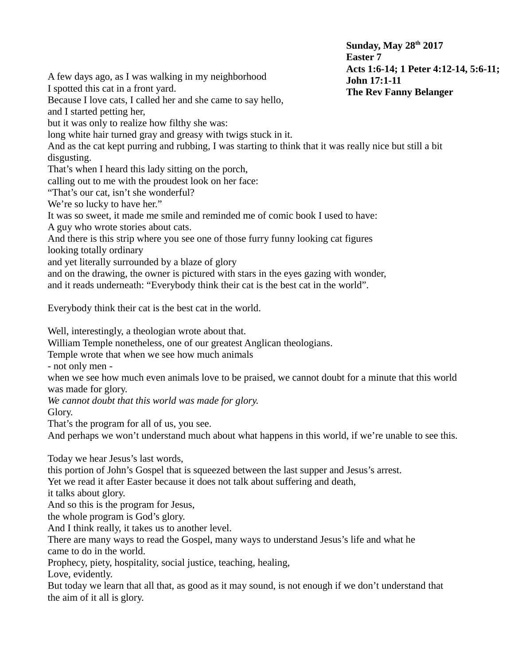**Sunday, May 28th 2017 Easter 7 Acts 1:6-14; 1 Peter 4:12-14, 5:6-11; John 17:1-11 The Rev Fanny Belanger**

A few days ago, as I was walking in my neighborhood

I spotted this cat in a front yard.

Because I love cats, I called her and she came to say hello,

and I started petting her,

but it was only to realize how filthy she was:

long white hair turned gray and greasy with twigs stuck in it.

And as the cat kept purring and rubbing, I was starting to think that it was really nice but still a bit disgusting.

That's when I heard this lady sitting on the porch,

calling out to me with the proudest look on her face:

"That's our cat, isn't she wonderful?

We're so lucky to have her."

It was so sweet, it made me smile and reminded me of comic book I used to have:

A guy who wrote stories about cats.

And there is this strip where you see one of those furry funny looking cat figures looking totally ordinary

and yet literally surrounded by a blaze of glory

and on the drawing, the owner is pictured with stars in the eyes gazing with wonder,

and it reads underneath: "Everybody think their cat is the best cat in the world".

Everybody think their cat is the best cat in the world.

Well, interestingly, a theologian wrote about that.

William Temple nonetheless, one of our greatest Anglican theologians.

Temple wrote that when we see how much animals

- not only men -

when we see how much even animals love to be praised, we cannot doubt for a minute that this world was made for glory.

*We cannot doubt that this world was made for glory.*

Glory.

That's the program for all of us, you see.

And perhaps we won't understand much about what happens in this world, if we're unable to see this.

Today we hear Jesus's last words,

this portion of John's Gospel that is squeezed between the last supper and Jesus's arrest.

Yet we read it after Easter because it does not talk about suffering and death,

it talks about glory.

And so this is the program for Jesus,

the whole program is God's glory.

And I think really, it takes us to another level.

There are many ways to read the Gospel, many ways to understand Jesus's life and what he came to do in the world.

Prophecy, piety, hospitality, social justice, teaching, healing,

Love, evidently.

But today we learn that all that, as good as it may sound, is not enough if we don't understand that the aim of it all is glory.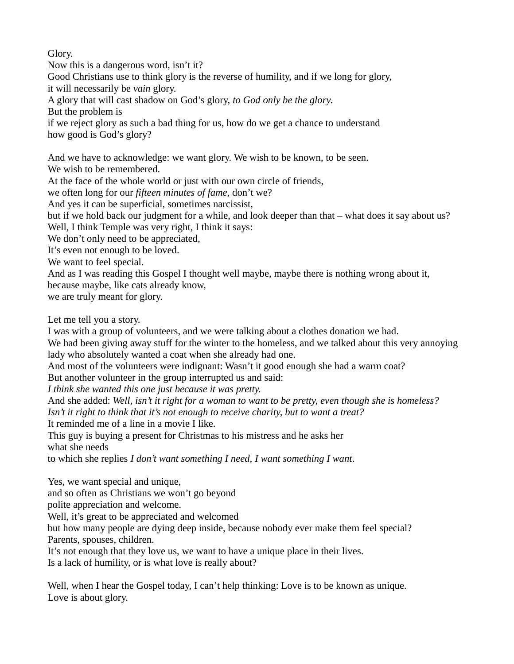Glory.

Now this is a dangerous word, isn't it? Good Christians use to think glory is the reverse of humility, and if we long for glory, it will necessarily be *vain* glory. A glory that will cast shadow on God's glory, *to God only be the glory*. But the problem is if we reject glory as such a bad thing for us, how do we get a chance to understand how good is God's glory? And we have to acknowledge: we want glory. We wish to be known, to be seen.

We wish to be remembered.

At the face of the whole world or just with our own circle of friends,

we often long for our *fifteen minutes of fame*, don't we?

And yes it can be superficial, sometimes narcissist,

but if we hold back our judgment for a while, and look deeper than that – what does it say about us? Well, I think Temple was very right, I think it says:

We don't only need to be appreciated,

It's even not enough to be loved.

We want to feel special.

And as I was reading this Gospel I thought well maybe, maybe there is nothing wrong about it,

because maybe, like cats already know,

we are truly meant for glory.

Let me tell you a story.

I was with a group of volunteers, and we were talking about a clothes donation we had.

We had been giving away stuff for the winter to the homeless, and we talked about this very annoying lady who absolutely wanted a coat when she already had one.

And most of the volunteers were indignant: Wasn't it good enough she had a warm coat?

But another volunteer in the group interrupted us and said:

*I think she wanted this one just because it was pretty.*

And she added: *Well, isn't it right for a woman to want to be pretty, even though she is homeless? Isn't it right to think that it's not enough to receive charity, but to want a treat?* It reminded me of a line in a movie I like.

This guy is buying a present for Christmas to his mistress and he asks her

what she needs

to which she replies *I don't want something I need, I want something I want*.

Yes, we want special and unique,

and so often as Christians we won't go beyond

polite appreciation and welcome.

Well, it's great to be appreciated and welcomed

but how many people are dying deep inside, because nobody ever make them feel special? Parents, spouses, children.

It's not enough that they love us, we want to have a unique place in their lives. Is a lack of humility, or is what love is really about?

Well, when I hear the Gospel today, I can't help thinking: Love is to be known as unique. Love is about glory.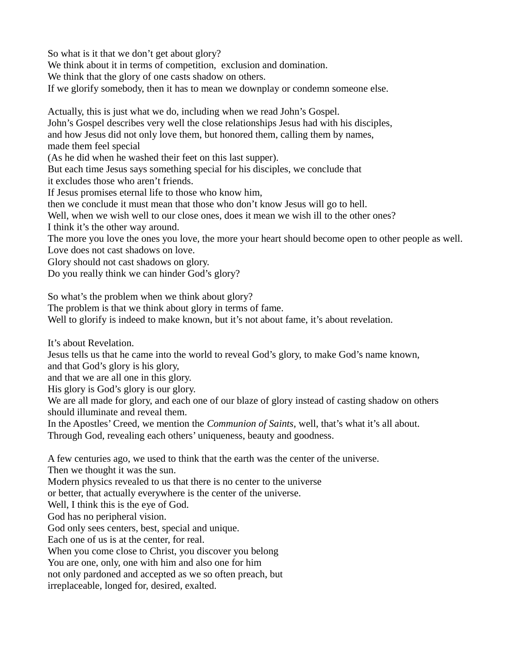So what is it that we don't get about glory?

We think about it in terms of competition, exclusion and domination.

We think that the glory of one casts shadow on others.

If we glorify somebody, then it has to mean we downplay or condemn someone else.

Actually, this is just what we do, including when we read John's Gospel.

John's Gospel describes very well the close relationships Jesus had with his disciples,

and how Jesus did not only love them, but honored them, calling them by names,

made them feel special

(As he did when he washed their feet on this last supper).

But each time Jesus says something special for his disciples, we conclude that

it excludes those who aren't friends.

If Jesus promises eternal life to those who know him,

then we conclude it must mean that those who don't know Jesus will go to hell.

Well, when we wish well to our close ones, does it mean we wish ill to the other ones?

I think it's the other way around.

The more you love the ones you love, the more your heart should become open to other people as well. Love does not cast shadows on love.

Glory should not cast shadows on glory.

Do you really think we can hinder God's glory?

So what's the problem when we think about glory?

The problem is that we think about glory in terms of fame.

Well to glorify is indeed to make known, but it's not about fame, it's about revelation.

It's about Revelation.

Jesus tells us that he came into the world to reveal God's glory, to make God's name known, and that God's glory is his glory,

and that we are all one in this glory.

His glory is God's glory is our glory.

We are all made for glory, and each one of our blaze of glory instead of casting shadow on others should illuminate and reveal them.

In the Apostles' Creed, we mention the *Communion of Saints,* well, that's what it's all about.

Through God, revealing each others' uniqueness, beauty and goodness.

A few centuries ago, we used to think that the earth was the center of the universe.

Then we thought it was the sun.

Modern physics revealed to us that there is no center to the universe

or better, that actually everywhere is the center of the universe.

Well, I think this is the eye of God.

God has no peripheral vision.

God only sees centers, best, special and unique.

Each one of us is at the center, for real.

When you come close to Christ, you discover you belong

You are one, only, one with him and also one for him

not only pardoned and accepted as we so often preach, but

irreplaceable, longed for, desired, exalted.